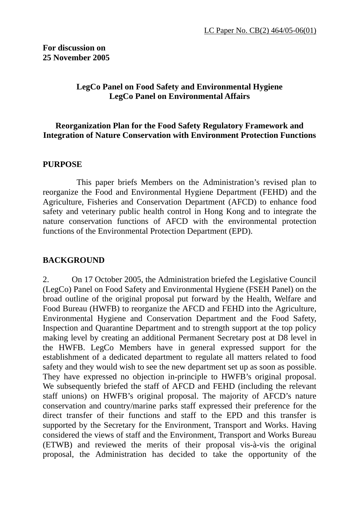# **LegCo Panel on Food Safety and Environmental Hygiene LegCo Panel on Environmental Affairs**

#### **Reorganization Plan for the Food Safety Regulatory Framework and Integration of Nature Conservation with Environment Protection Functions**

#### **PURPOSE**

 This paper briefs Members on the Administration's revised plan to reorganize the Food and Environmental Hygiene Department (FEHD) and the Agriculture, Fisheries and Conservation Department (AFCD) to enhance food safety and veterinary public health control in Hong Kong and to integrate the nature conservation functions of AFCD with the environmental protection functions of the Environmental Protection Department (EPD).

#### **BACKGROUND**

2. On 17 October 2005, the Administration briefed the Legislative Council (LegCo) Panel on Food Safety and Environmental Hygiene (FSEH Panel) on the broad outline of the original proposal put forward by the Health, Welfare and Food Bureau (HWFB) to reorganize the AFCD and FEHD into the Agriculture, Environmental Hygiene and Conservation Department and the Food Safety, Inspection and Quarantine Department and to strength support at the top policy making level by creating an additional Permanent Secretary post at D8 level in the HWFB. LegCo Members have in general expressed support for the establishment of a dedicated department to regulate all matters related to food safety and they would wish to see the new department set up as soon as possible. They have expressed no objection in-principle to HWFB's original proposal. We subsequently briefed the staff of AFCD and FEHD (including the relevant staff unions) on HWFB's original proposal. The majority of AFCD's nature conservation and country/marine parks staff expressed their preference for the direct transfer of their functions and staff to the EPD and this transfer is supported by the Secretary for the Environment, Transport and Works. Having considered the views of staff and the Environment, Transport and Works Bureau (ETWB) and reviewed the merits of their proposal vis-à-vis the original proposal, the Administration has decided to take the opportunity of the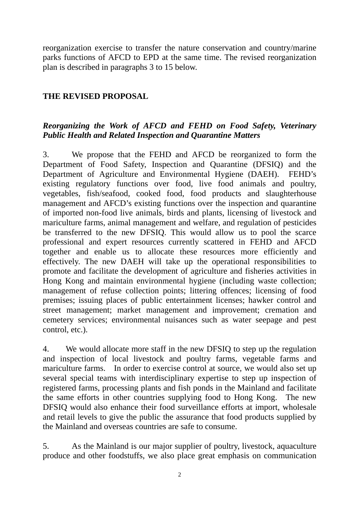reorganization exercise to transfer the nature conservation and country/marine parks functions of AFCD to EPD at the same time. The revised reorganization plan is described in paragraphs 3 to 15 below.

# **THE REVISED PROPOSAL**

# *Reorganizing the Work of AFCD and FEHD on Food Safety, Veterinary Public Health and Related Inspection and Quarantine Matters*

3. We propose that the FEHD and AFCD be reorganized to form the Department of Food Safety, Inspection and Quarantine (DFSIQ) and the Department of Agriculture and Environmental Hygiene (DAEH). FEHD's existing regulatory functions over food, live food animals and poultry, vegetables, fish/seafood, cooked food, food products and slaughterhouse management and AFCD's existing functions over the inspection and quarantine of imported non-food live animals, birds and plants, licensing of livestock and mariculture farms, animal management and welfare, and regulation of pesticides be transferred to the new DFSIQ. This would allow us to pool the scarce professional and expert resources currently scattered in FEHD and AFCD together and enable us to allocate these resources more efficiently and effectively. The new DAEH will take up the operational responsibilities to promote and facilitate the development of agriculture and fisheries activities in Hong Kong and maintain environmental hygiene (including waste collection; management of refuse collection points; littering offences; licensing of food premises; issuing places of public entertainment licenses; hawker control and street management; market management and improvement; cremation and cemetery services; environmental nuisances such as water seepage and pest control, etc.).

4. We would allocate more staff in the new DFSIQ to step up the regulation and inspection of local livestock and poultry farms, vegetable farms and mariculture farms. In order to exercise control at source, we would also set up several special teams with interdisciplinary expertise to step up inspection of registered farms, processing plants and fish ponds in the Mainland and facilitate the same efforts in other countries supplying food to Hong Kong. The new DFSIQ would also enhance their food surveillance efforts at import, wholesale and retail levels to give the public the assurance that food products supplied by the Mainland and overseas countries are safe to consume.

5. As the Mainland is our major supplier of poultry, livestock, aquaculture produce and other foodstuffs, we also place great emphasis on communication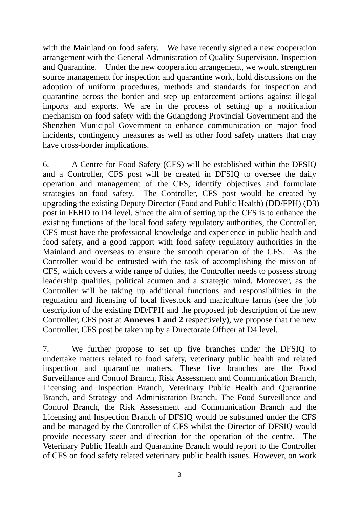with the Mainland on food safety. We have recently signed a new cooperation arrangement with the General Administration of Quality Supervision, Inspection and Quarantine. Under the new cooperation arrangement, we would strengthen source management for inspection and quarantine work, hold discussions on the adoption of uniform procedures, methods and standards for inspection and quarantine across the border and step up enforcement actions against illegal imports and exports. We are in the process of setting up a notification mechanism on food safety with the Guangdong Provincial Government and the Shenzhen Municipal Government to enhance communication on major food incidents, contingency measures as well as other food safety matters that may have cross-border implications.

6. A Centre for Food Safety (CFS) will be established within the DFSIQ and a Controller, CFS post will be created in DFSIQ to oversee the daily operation and management of the CFS, identify objectives and formulate strategies on food safety. The Controller, CFS post would be created by upgrading the existing Deputy Director (Food and Public Health) (DD/FPH) (D3) post in FEHD to D4 level. Since the aim of setting up the CFS is to enhance the existing functions of the local food safety regulatory authorities, the Controller, CFS must have the professional knowledge and experience in public health and food safety, and a good rapport with food safety regulatory authorities in the Mainland and overseas to ensure the smooth operation of the CFS. As the Controller would be entrusted with the task of accomplishing the mission of CFS, which covers a wide range of duties, the Controller needs to possess strong leadership qualities, political acumen and a strategic mind. Moreover, as the Controller will be taking up additional functions and responsibilities in the regulation and licensing of local livestock and mariculture farms (see the job description of the existing DD/FPH and the proposed job description of the new Controller, CFS post at **Annexes 1 and 2** respectively**)**, we propose that the new Controller, CFS post be taken up by a Directorate Officer at D4 level.

7. We further propose to set up five branches under the DFSIQ to undertake matters related to food safety, veterinary public health and related inspection and quarantine matters. These five branches are the Food Surveillance and Control Branch, Risk Assessment and Communication Branch, Licensing and Inspection Branch, Veterinary Public Health and Quarantine Branch, and Strategy and Administration Branch. The Food Surveillance and Control Branch, the Risk Assessment and Communication Branch and the Licensing and Inspection Branch of DFSIQ would be subsumed under the CFS and be managed by the Controller of CFS whilst the Director of DFSIQ would provide necessary steer and direction for the operation of the centre. The Veterinary Public Health and Quarantine Branch would report to the Controller of CFS on food safety related veterinary public health issues. However, on work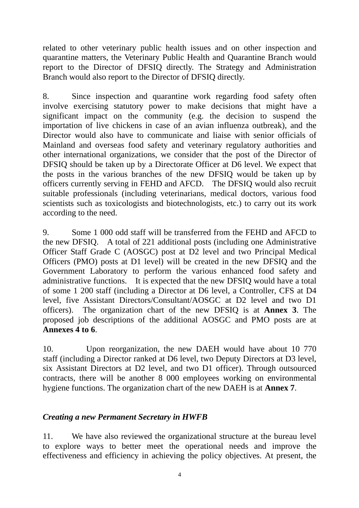related to other veterinary public health issues and on other inspection and quarantine matters, the Veterinary Public Health and Quarantine Branch would report to the Director of DFSIQ directly. The Strategy and Administration Branch would also report to the Director of DFSIQ directly.

8. Since inspection and quarantine work regarding food safety often involve exercising statutory power to make decisions that might have a significant impact on the community (e.g. the decision to suspend the importation of live chickens in case of an avian influenza outbreak), and the Director would also have to communicate and liaise with senior officials of Mainland and overseas food safety and veterinary regulatory authorities and other international organizations, we consider that the post of the Director of DFSIQ should be taken up by a Directorate Officer at D6 level. We expect that the posts in the various branches of the new DFSIQ would be taken up by officers currently serving in FEHD and AFCD. The DFSIQ would also recruit suitable professionals (including veterinarians, medical doctors, various food scientists such as toxicologists and biotechnologists, etc.) to carry out its work according to the need.

9. Some 1 000 odd staff will be transferred from the FEHD and AFCD to the new DFSIQ. A total of 221 additional posts (including one Administrative Officer Staff Grade C (AOSGC) post at D2 level and two Principal Medical Officers (PMO) posts at D1 level) will be created in the new DFSIQ and the Government Laboratory to perform the various enhanced food safety and administrative functions.It is expected that the new DFSIQ would have a total of some 1 200 staff (including a Director at D6 level, a Controller, CFS at D4 level, five Assistant Directors/Consultant/AOSGC at D2 level and two D1 officers). The organization chart of the new DFSIQ is at **Annex 3**. The proposed job descriptions of the additional AOSGC and PMO posts are at **Annexes 4 to 6**.

10. Upon reorganization, the new DAEH would have about 10 770 staff (including a Director ranked at D6 level, two Deputy Directors at D3 level, six Assistant Directors at D2 level, and two D1 officer). Through outsourced contracts, there will be another 8 000 employees working on environmental hygiene functions. The organization chart of the new DAEH is at **Annex 7**.

# *Creating a new Permanent Secretary in HWFB*

11. We have also reviewed the organizational structure at the bureau level to explore ways to better meet the operational needs and improve the effectiveness and efficiency in achieving the policy objectives. At present, the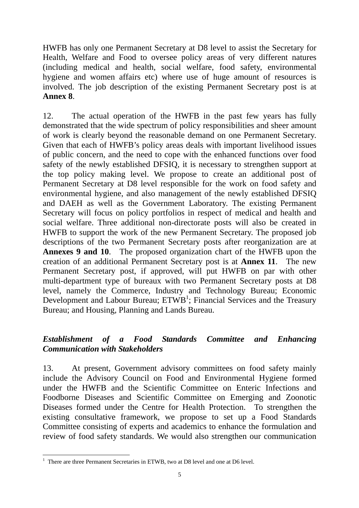HWFB has only one Permanent Secretary at D8 level to assist the Secretary for Health, Welfare and Food to oversee policy areas of very different natures (including medical and health, social welfare, food safety, environmental hygiene and women affairs etc) where use of huge amount of resources is involved. The job description of the existing Permanent Secretary post is at **Annex 8**.

12. The actual operation of the HWFB in the past few years has fully demonstrated that the wide spectrum of policy responsibilities and sheer amount of work is clearly beyond the reasonable demand on one Permanent Secretary. Given that each of HWFB's policy areas deals with important livelihood issues of public concern, and the need to cope with the enhanced functions over food safety of the newly established DFSIQ, it is necessary to strengthen support at the top policy making level. We propose to create an additional post of Permanent Secretary at D8 level responsible for the work on food safety and environmental hygiene, and also management of the newly established DFSIQ and DAEH as well as the Government Laboratory. The existing Permanent Secretary will focus on policy portfolios in respect of medical and health and social welfare. Three additional non-directorate posts will also be created in HWFB to support the work of the new Permanent Secretary. The proposed job descriptions of the two Permanent Secretary posts after reorganization are at **Annexes 9 and 10**. The proposed organization chart of the HWFB upon the creation of an additional Permanent Secretary post is at **Annex 11**. The new Permanent Secretary post, if approved, will put HWFB on par with other multi-department type of bureaux with two Permanent Secretary posts at D8 level, namely the Commerce, Industry and Technology Bureau; Economic Development and Labour Bureau;  $ETWB<sup>1</sup>$ ; Financial Services and the Treasury Bureau; and Housing, Planning and Lands Bureau.

# *Establishment of a Food Standards Committee and Enhancing Communication with Stakeholders*

13. At present, Government advisory committees on food safety mainly include the Advisory Council on Food and Environmental Hygiene formed under the HWFB and the Scientific Committee on Enteric Infections and Foodborne Diseases and Scientific Committee on Emerging and Zoonotic Diseases formed under the Centre for Health Protection. To strengthen the existing consultative framework, we propose to set up a Food Standards Committee consisting of experts and academics to enhance the formulation and review of food safety standards. We would also strengthen our communication

 $\overline{a}$ 1 There are three Permanent Secretaries in ETWB, two at D8 level and one at D6 level.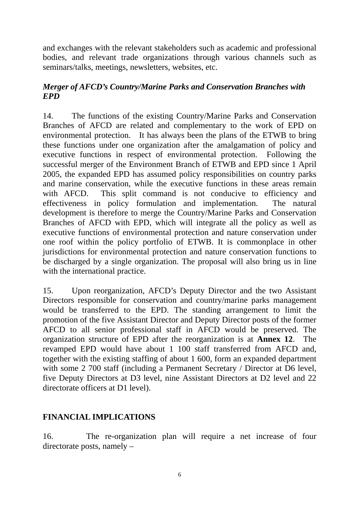and exchanges with the relevant stakeholders such as academic and professional bodies, and relevant trade organizations through various channels such as seminars/talks, meetings, newsletters, websites, etc.

# *Merger of AFCD's Country/Marine Parks and Conservation Branches with EPD*

14. The functions of the existing Country/Marine Parks and Conservation Branches of AFCD are related and complementary to the work of EPD on environmental protection. It has always been the plans of the ETWB to bring these functions under one organization after the amalgamation of policy and executive functions in respect of environmental protection. Following the successful merger of the Environment Branch of ETWB and EPD since 1 April 2005, the expanded EPD has assumed policy responsibilities on country parks and marine conservation, while the executive functions in these areas remain with AFCD. This split command is not conducive to efficiency and effectiveness in policy formulation and implementation. The natural development is therefore to merge the Country/Marine Parks and Conservation Branches of AFCD with EPD, which will integrate all the policy as well as executive functions of environmental protection and nature conservation under one roof within the policy portfolio of ETWB. It is commonplace in other jurisdictions for environmental protection and nature conservation functions to be discharged by a single organization. The proposal will also bring us in line with the international practice.

15. Upon reorganization, AFCD's Deputy Director and the two Assistant Directors responsible for conservation and country/marine parks management would be transferred to the EPD. The standing arrangement to limit the promotion of the five Assistant Director and Deputy Director posts of the former AFCD to all senior professional staff in AFCD would be preserved. The organization structure of EPD after the reorganization is at **Annex 12**. The revamped EPD would have about 1 100 staff transferred from AFCD and, together with the existing staffing of about 1 600, form an expanded department with some 2 700 staff (including a Permanent Secretary / Director at D6 level, five Deputy Directors at D3 level, nine Assistant Directors at D2 level and 22 directorate officers at D1 level).

# **FINANCIAL IMPLICATIONS**

16. The re-organization plan will require a net increase of four directorate posts, namely –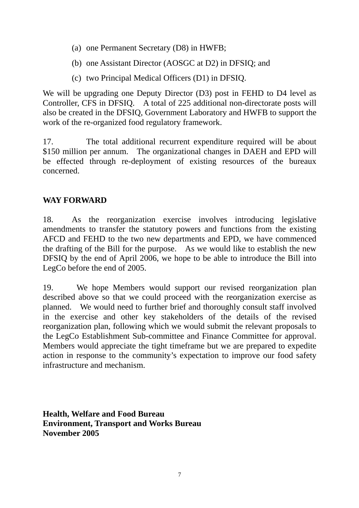- (a) one Permanent Secretary (D8) in HWFB;
- (b) one Assistant Director (AOSGC at D2) in DFSIQ; and
- (c) two Principal Medical Officers (D1) in DFSIQ.

We will be upgrading one Deputy Director (D3) post in FEHD to D4 level as Controller, CFS in DFSIQ. A total of 225 additional non-directorate posts will also be created in the DFSIQ, Government Laboratory and HWFB to support the work of the re-organized food regulatory framework.

17. The total additional recurrent expenditure required will be about \$150 million per annum. The organizational changes in DAEH and EPD will be effected through re-deployment of existing resources of the bureaux concerned.

# **WAY FORWARD**

18. As the reorganization exercise involves introducing legislative amendments to transfer the statutory powers and functions from the existing AFCD and FEHD to the two new departments and EPD, we have commenced the drafting of the Bill for the purpose. As we would like to establish the new DFSIQ by the end of April 2006, we hope to be able to introduce the Bill into LegCo before the end of 2005.

19. We hope Members would support our revised reorganization plan described above so that we could proceed with the reorganization exercise as planned. We would need to further brief and thoroughly consult staff involved in the exercise and other key stakeholders of the details of the revised reorganization plan, following which we would submit the relevant proposals to the LegCo Establishment Sub-committee and Finance Committee for approval. Members would appreciate the tight timeframe but we are prepared to expedite action in response to the community's expectation to improve our food safety infrastructure and mechanism.

**Health, Welfare and Food Bureau Environment, Transport and Works Bureau November 2005**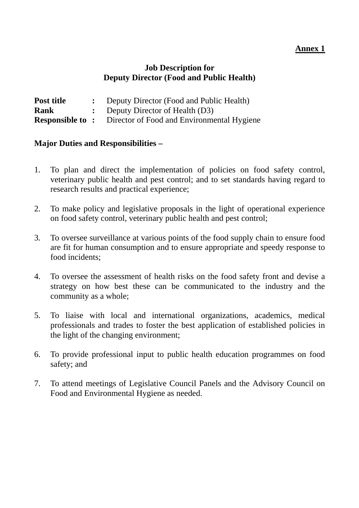# **Job Description for Deputy Director (Food and Public Health)**

| Post title | Deputy Director (Food and Public Health)                          |
|------------|-------------------------------------------------------------------|
| Rank       | : Deputy Director of Health $(D3)$                                |
|            | <b>Responsible to:</b> Director of Food and Environmental Hygiene |

- 1. To plan and direct the implementation of policies on food safety control, veterinary public health and pest control; and to set standards having regard to research results and practical experience;
- 2. To make policy and legislative proposals in the light of operational experience on food safety control, veterinary public health and pest control;
- 3. To oversee surveillance at various points of the food supply chain to ensure food are fit for human consumption and to ensure appropriate and speedy response to food incidents;
- 4. To oversee the assessment of health risks on the food safety front and devise a strategy on how best these can be communicated to the industry and the community as a whole;
- 5. To liaise with local and international organizations, academics, medical professionals and trades to foster the best application of established policies in the light of the changing environment;
- 6. To provide professional input to public health education programmes on food safety; and
- 7. To attend meetings of Legislative Council Panels and the Advisory Council on Food and Environmental Hygiene as needed.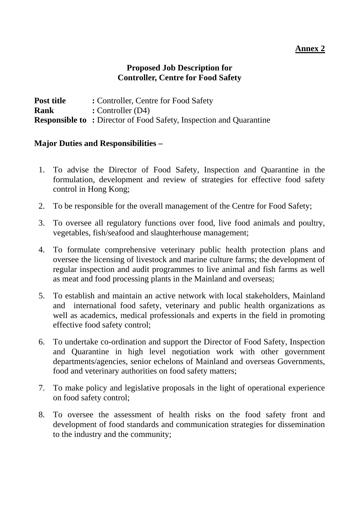# **Proposed Job Description for Controller, Centre for Food Safety**

**Post title : Controller, Centre for Food Safety Rank** : **Controller** (D4) **Responsible to: Director of Food Safety, Inspection and Quarantine** 

- 1. To advise the Director of Food Safety, Inspection and Quarantine in the formulation, development and review of strategies for effective food safety control in Hong Kong;
- 2. To be responsible for the overall management of the Centre for Food Safety;
- 3. To oversee all regulatory functions over food, live food animals and poultry, vegetables, fish/seafood and slaughterhouse management;
- 4. To formulate comprehensive veterinary public health protection plans and oversee the licensing of livestock and marine culture farms; the development of regular inspection and audit programmes to live animal and fish farms as well as meat and food processing plants in the Mainland and overseas;
- 5. To establish and maintain an active network with local stakeholders, Mainland and international food safety, veterinary and public health organizations as well as academics, medical professionals and experts in the field in promoting effective food safety control;
- 6. To undertake co-ordination and support the Director of Food Safety, Inspection and Quarantine in high level negotiation work with other government departments/agencies, senior echelons of Mainland and overseas Governments, food and veterinary authorities on food safety matters;
- 7. To make policy and legislative proposals in the light of operational experience on food safety control;
- 8. To oversee the assessment of health risks on the food safety front and development of food standards and communication strategies for dissemination to the industry and the community;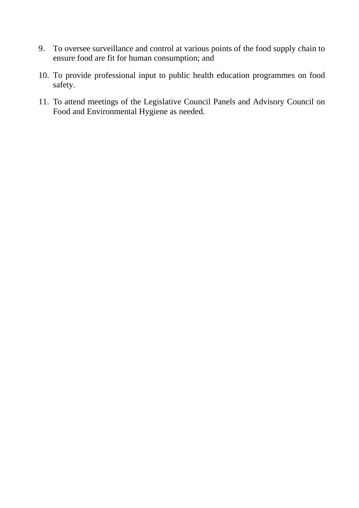- 9. To oversee surveillance and control at various points of the food supply chain to ensure food are fit for human consumption; and
- 10. To provide professional input to public health education programmes on food safety.
- 11. To attend meetings of the Legislative Council Panels and Advisory Council on Food and Environmental Hygiene as needed.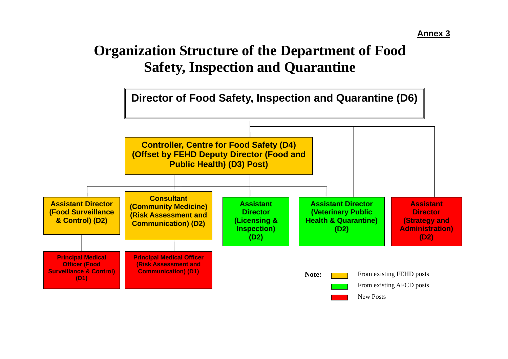# **Organization Structure of the Department of Food Safety, Inspection and Quarantine**

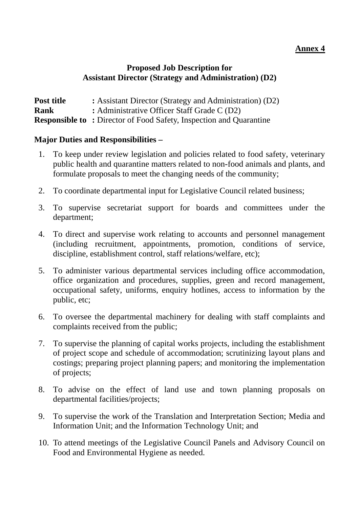# **Proposed Job Description for Assistant Director (Strategy and Administration) (D2)**

| Post title  | : Assistant Director (Strategy and Administration) (D2)                   |
|-------------|---------------------------------------------------------------------------|
| <b>Rank</b> | : Administrative Officer Staff Grade C (D2)                               |
|             | <b>Responsible to: Director of Food Safety, Inspection and Quarantine</b> |

- 1. To keep under review legislation and policies related to food safety, veterinary public health and quarantine matters related to non-food animals and plants, and formulate proposals to meet the changing needs of the community;
- 2. To coordinate departmental input for Legislative Council related business;
- 3. To supervise secretariat support for boards and committees under the department;
- 4. To direct and supervise work relating to accounts and personnel management (including recruitment, appointments, promotion, conditions of service, discipline, establishment control, staff relations/welfare, etc);
- 5. To administer various departmental services including office accommodation, office organization and procedures, supplies, green and record management, occupational safety, uniforms, enquiry hotlines, access to information by the public, etc;
- 6. To oversee the departmental machinery for dealing with staff complaints and complaints received from the public;
- 7. To supervise the planning of capital works projects, including the establishment of project scope and schedule of accommodation; scrutinizing layout plans and costings; preparing project planning papers; and monitoring the implementation of projects;
- 8. To advise on the effect of land use and town planning proposals on departmental facilities/projects;
- 9. To supervise the work of the Translation and Interpretation Section; Media and Information Unit; and the Information Technology Unit; and
- 10. To attend meetings of the Legislative Council Panels and Advisory Council on Food and Environmental Hygiene as needed.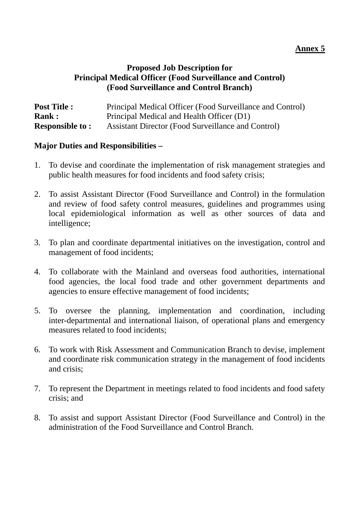# **Proposed Job Description for Principal Medical Officer (Food Surveillance and Control) (Food Surveillance and Control Branch)**

| <b>Post Title :</b>    | Principal Medical Officer (Food Surveillance and Control) |
|------------------------|-----------------------------------------------------------|
| <b>Rank:</b>           | Principal Medical and Health Officer (D1)                 |
| <b>Responsible to:</b> | <b>Assistant Director (Food Surveillance and Control)</b> |

- 1. To devise and coordinate the implementation of risk management strategies and public health measures for food incidents and food safety crisis;
- 2. To assist Assistant Director (Food Surveillance and Control) in the formulation and review of food safety control measures, guidelines and programmes using local epidemiological information as well as other sources of data and intelligence;
- 3. To plan and coordinate departmental initiatives on the investigation, control and management of food incidents;
- 4. To collaborate with the Mainland and overseas food authorities, international food agencies, the local food trade and other government departments and agencies to ensure effective management of food incidents;
- 5. To oversee the planning, implementation and coordination, including inter-departmental and international liaison, of operational plans and emergency measures related to food incidents;
- 6. To work with Risk Assessment and Communication Branch to devise, implement and coordinate risk communication strategy in the management of food incidents and crisis;
- 7. To represent the Department in meetings related to food incidents and food safety crisis; and
- 8. To assist and support Assistant Director (Food Surveillance and Control) in the administration of the Food Surveillance and Control Branch.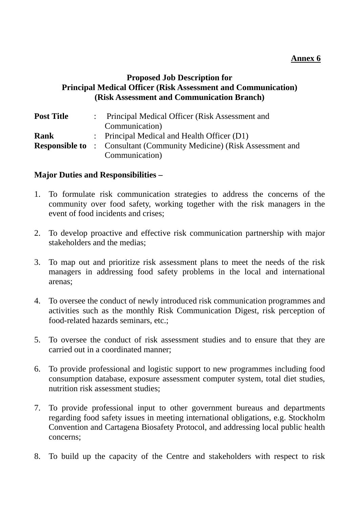#### **Proposed Job Description for Principal Medical Officer (Risk Assessment and Communication) (Risk Assessment and Communication Branch)**

| <b>Post Title</b> | : Principal Medical Officer (Risk Assessment and                             |
|-------------------|------------------------------------------------------------------------------|
|                   | Communication)                                                               |
| Rank              | : Principal Medical and Health Officer (D1)                                  |
|                   | <b>Responsible to</b> : Consultant (Community Medicine) (Risk Assessment and |
|                   | Communication)                                                               |

- 1. To formulate risk communication strategies to address the concerns of the community over food safety, working together with the risk managers in the event of food incidents and crises;
- 2. To develop proactive and effective risk communication partnership with major stakeholders and the medias;
- 3. To map out and prioritize risk assessment plans to meet the needs of the risk managers in addressing food safety problems in the local and international arenas;
- 4. To oversee the conduct of newly introduced risk communication programmes and activities such as the monthly Risk Communication Digest, risk perception of food-related hazards seminars, etc.;
- 5. To oversee the conduct of risk assessment studies and to ensure that they are carried out in a coordinated manner;
- 6. To provide professional and logistic support to new programmes including food consumption database, exposure assessment computer system, total diet studies, nutrition risk assessment studies;
- 7. To provide professional input to other government bureaus and departments regarding food safety issues in meeting international obligations, e.g. Stockholm Convention and Cartagena Biosafety Protocol, and addressing local public health concerns;
- 8. To build up the capacity of the Centre and stakeholders with respect to risk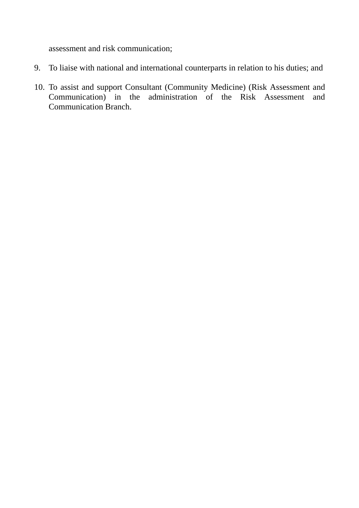assessment and risk communication;

- 9. To liaise with national and international counterparts in relation to his duties; and
- 10. To assist and support Consultant (Community Medicine) (Risk Assessment and Communication) in the administration of the Risk Assessment and Communication Branch.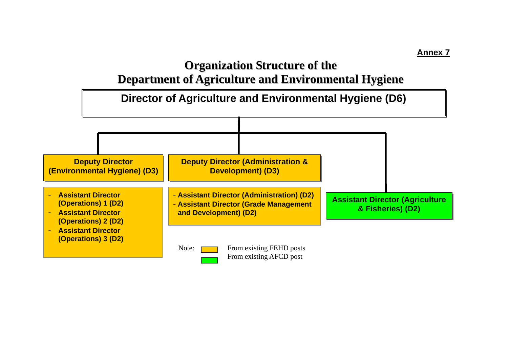# **Organization Structure of the**

**Department of Agriculture and Environmental Hygiene**

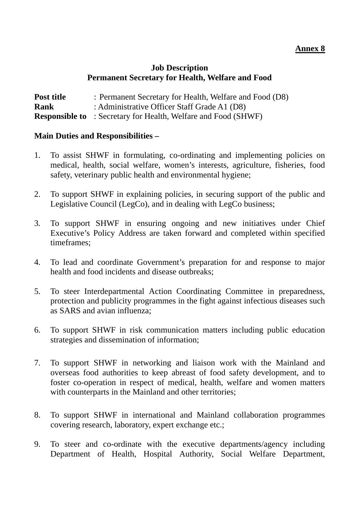# **Job Description Permanent Secretary for Health, Welfare and Food**

| Post title  | : Permanent Secretary for Health, Welfare and Food (D8)               |
|-------------|-----------------------------------------------------------------------|
| <b>Rank</b> | : Administrative Officer Staff Grade A1 (D8)                          |
|             | <b>Responsible to</b> : Secretary for Health, Welfare and Food (SHWF) |

- 1. To assist SHWF in formulating, co-ordinating and implementing policies on medical, health, social welfare, women's interests, agriculture, fisheries, food safety, veterinary public health and environmental hygiene;
- 2. To support SHWF in explaining policies, in securing support of the public and Legislative Council (LegCo), and in dealing with LegCo business;
- 3. To support SHWF in ensuring ongoing and new initiatives under Chief Executive's Policy Address are taken forward and completed within specified timeframes;
- 4. To lead and coordinate Government's preparation for and response to major health and food incidents and disease outbreaks;
- 5. To steer Interdepartmental Action Coordinating Committee in preparedness, protection and publicity programmes in the fight against infectious diseases such as SARS and avian influenza;
- 6. To support SHWF in risk communication matters including public education strategies and dissemination of information;
- 7. To support SHWF in networking and liaison work with the Mainland and overseas food authorities to keep abreast of food safety development, and to foster co-operation in respect of medical, health, welfare and women matters with counterparts in the Mainland and other territories;
- 8. To support SHWF in international and Mainland collaboration programmes covering research, laboratory, expert exchange etc.;
- 9. To steer and co-ordinate with the executive departments/agency including Department of Health, Hospital Authority, Social Welfare Department,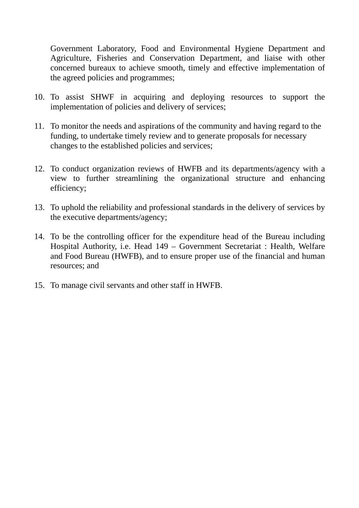Government Laboratory, Food and Environmental Hygiene Department and Agriculture, Fisheries and Conservation Department, and liaise with other concerned bureaux to achieve smooth, timely and effective implementation of the agreed policies and programmes;

- 10. To assist SHWF in acquiring and deploying resources to support the implementation of policies and delivery of services;
- 11. To monitor the needs and aspirations of the community and having regard to the funding, to undertake timely review and to generate proposals for necessary changes to the established policies and services;
- 12. To conduct organization reviews of HWFB and its departments/agency with a view to further streamlining the organizational structure and enhancing efficiency;
- 13. To uphold the reliability and professional standards in the delivery of services by the executive departments/agency;
- 14. To be the controlling officer for the expenditure head of the Bureau including Hospital Authority, i.e. Head 149 – Government Secretariat : Health, Welfare and Food Bureau (HWFB), and to ensure proper use of the financial and human resources; and
- 15. To manage civil servants and other staff in HWFB.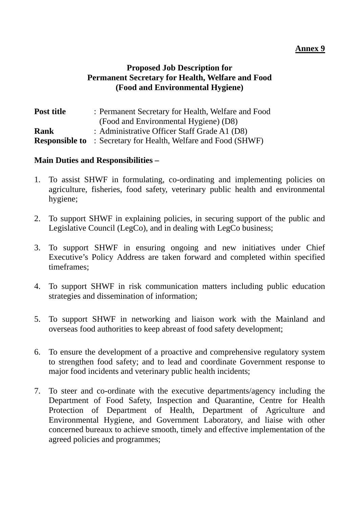# **Proposed Job Description for Permanent Secretary for Health, Welfare and Food (Food and Environmental Hygiene)**

| Post title | : Permanent Secretary for Health, Welfare and Food                    |
|------------|-----------------------------------------------------------------------|
|            | (Food and Environmental Hygiene) (D8)                                 |
| Rank       | : Administrative Officer Staff Grade A1 (D8)                          |
|            | <b>Responsible to</b> : Secretary for Health, Welfare and Food (SHWF) |

- 1. To assist SHWF in formulating, co-ordinating and implementing policies on agriculture, fisheries, food safety, veterinary public health and environmental hygiene;
- 2. To support SHWF in explaining policies, in securing support of the public and Legislative Council (LegCo), and in dealing with LegCo business;
- 3. To support SHWF in ensuring ongoing and new initiatives under Chief Executive's Policy Address are taken forward and completed within specified timeframes;
- 4. To support SHWF in risk communication matters including public education strategies and dissemination of information;
- 5. To support SHWF in networking and liaison work with the Mainland and overseas food authorities to keep abreast of food safety development;
- 6. To ensure the development of a proactive and comprehensive regulatory system to strengthen food safety; and to lead and coordinate Government response to major food incidents and veterinary public health incidents;
- 7. To steer and co-ordinate with the executive departments/agency including the Department of Food Safety, Inspection and Quarantine, Centre for Health Protection of Department of Health, Department of Agriculture and Environmental Hygiene, and Government Laboratory, and liaise with other concerned bureaux to achieve smooth, timely and effective implementation of the agreed policies and programmes;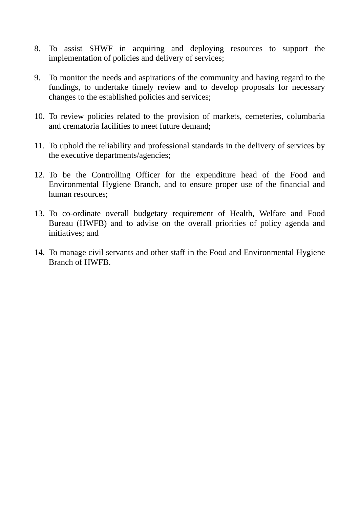- 8. To assist SHWF in acquiring and deploying resources to support the implementation of policies and delivery of services;
- 9. To monitor the needs and aspirations of the community and having regard to the fundings, to undertake timely review and to develop proposals for necessary changes to the established policies and services;
- 10. To review policies related to the provision of markets, cemeteries, columbaria and crematoria facilities to meet future demand;
- 11. To uphold the reliability and professional standards in the delivery of services by the executive departments/agencies;
- 12. To be the Controlling Officer for the expenditure head of the Food and Environmental Hygiene Branch, and to ensure proper use of the financial and human resources;
- 13. To co-ordinate overall budgetary requirement of Health, Welfare and Food Bureau (HWFB) and to advise on the overall priorities of policy agenda and initiatives; and
- 14. To manage civil servants and other staff in the Food and Environmental Hygiene Branch of HWFB.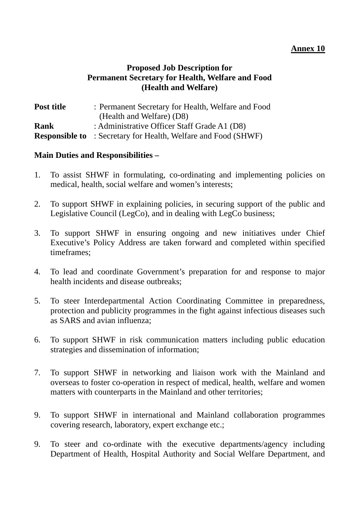# **Proposed Job Description for Permanent Secretary for Health, Welfare and Food (Health and Welfare)**

| Post title | : Permanent Secretary for Health, Welfare and Food                    |
|------------|-----------------------------------------------------------------------|
|            | (Health and Welfare) (D8)                                             |
| Rank       | : Administrative Officer Staff Grade A1 (D8)                          |
|            | <b>Responsible to</b> : Secretary for Health, Welfare and Food (SHWF) |

- 1. To assist SHWF in formulating, co-ordinating and implementing policies on medical, health, social welfare and women's interests;
- 2. To support SHWF in explaining policies, in securing support of the public and Legislative Council (LegCo), and in dealing with LegCo business;
- 3. To support SHWF in ensuring ongoing and new initiatives under Chief Executive's Policy Address are taken forward and completed within specified timeframes;
- 4. To lead and coordinate Government's preparation for and response to major health incidents and disease outbreaks;
- 5. To steer Interdepartmental Action Coordinating Committee in preparedness, protection and publicity programmes in the fight against infectious diseases such as SARS and avian influenza;
- 6. To support SHWF in risk communication matters including public education strategies and dissemination of information;
- 7. To support SHWF in networking and liaison work with the Mainland and overseas to foster co-operation in respect of medical, health, welfare and women matters with counterparts in the Mainland and other territories;
- 9. To support SHWF in international and Mainland collaboration programmes covering research, laboratory, expert exchange etc.;
- 9. To steer and co-ordinate with the executive departments/agency including Department of Health, Hospital Authority and Social Welfare Department, and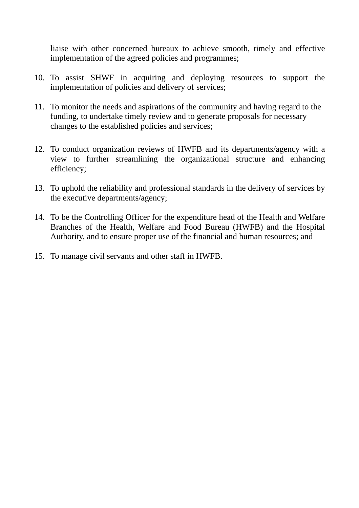liaise with other concerned bureaux to achieve smooth, timely and effective implementation of the agreed policies and programmes;

- 10. To assist SHWF in acquiring and deploying resources to support the implementation of policies and delivery of services;
- 11. To monitor the needs and aspirations of the community and having regard to the funding, to undertake timely review and to generate proposals for necessary changes to the established policies and services;
- 12. To conduct organization reviews of HWFB and its departments/agency with a view to further streamlining the organizational structure and enhancing efficiency;
- 13. To uphold the reliability and professional standards in the delivery of services by the executive departments/agency;
- 14. To be the Controlling Officer for the expenditure head of the Health and Welfare Branches of the Health, Welfare and Food Bureau (HWFB) and the Hospital Authority, and to ensure proper use of the financial and human resources; and
- 15. To manage civil servants and other staff in HWFB.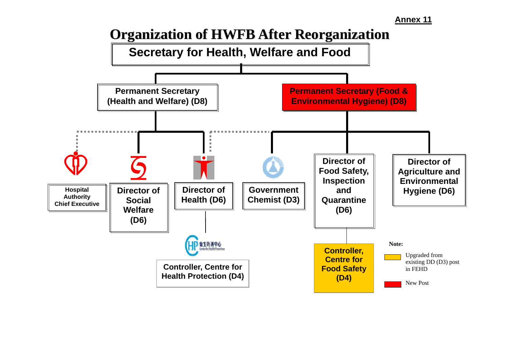